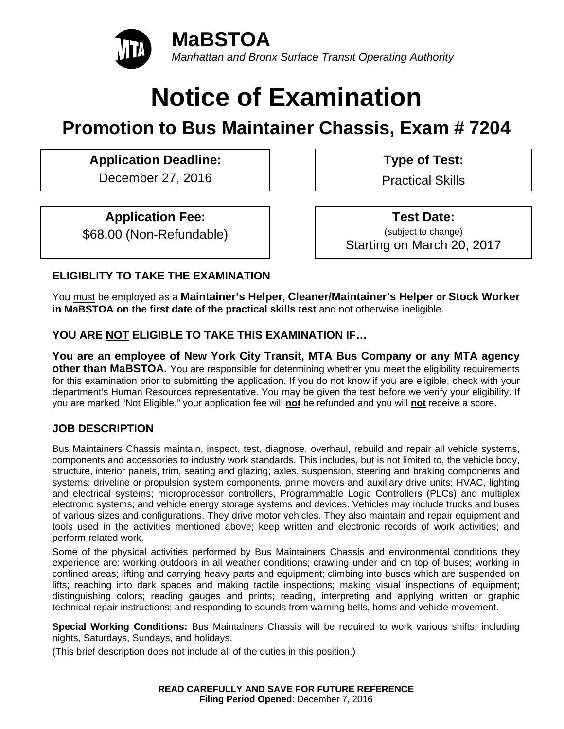

# **Notice of Examination**

## **Promotion to Bus Maintainer Chassis, Exam # 7204**

## Application Deadline: **Type of Test:**

December 27, 2016 | Practical Skills

## **Application Fee:**

\$68.00 (Non-Refundable)

 **Test Date:** (subject to change) Starting on March 20, 2017

## **ELIGIBLITY TO TAKE THE EXAMINATION**

You must be employed as a **Maintainer's Helper, Cleaner/Maintainer's Helper or Stock Worker in MaBSTOA on the first date of the practical skills test** and not otherwise ineligible.

## **YOU ARE NOT ELIGIBLE TO TAKE THIS EXAMINATION IF…**

**You are an employee of New York City Transit, MTA Bus Company or any MTA agency other than MaBSTOA.** You are responsible for determining whether you meet the eligibility requirements for this examination prior to submitting the application. If you do not know if you are eligible, check with your department's Human Resources representative. You may be given the test before we verify your eligibility. If you are marked "Not Eligible," your application fee will **not** be refunded and you will **not** receive a score.

## **JOB DESCRIPTION**

Bus Maintainers Chassis maintain, inspect, test, diagnose, overhaul, rebuild and repair all vehicle systems, components and accessories to industry work standards. This includes, but is not limited to, the vehicle body, structure, interior panels, trim, seating and glazing; axles, suspension, steering and braking components and systems; driveline or propulsion system components, prime movers and auxiliary drive units; HVAC, lighting and electrical systems; microprocessor controllers, Programmable Logic Controllers (PLCs) and multiplex electronic systems; and vehicle energy storage systems and devices. Vehicles may include trucks and buses of various sizes and configurations. They drive motor vehicles. They also maintain and repair equipment and tools used in the activities mentioned above; keep written and electronic records of work activities; and perform related work.

Some of the physical activities performed by Bus Maintainers Chassis and environmental conditions they experience are: working outdoors in all weather conditions; crawling under and on top of buses; working in confined areas; lifting and carrying heavy parts and equipment; climbing into buses which are suspended on lifts; reaching into dark spaces and making tactile inspections; making visual inspections of equipment; distinguishing colors; reading gauges and prints; reading, interpreting and applying written or graphic technical repair instructions; and responding to sounds from warning bells, horns and vehicle movement.

**Special Working Conditions:** Bus Maintainers Chassis will be required to work various shifts, including nights, Saturdays, Sundays, and holidays.

(This brief description does not include all of the duties in this position.)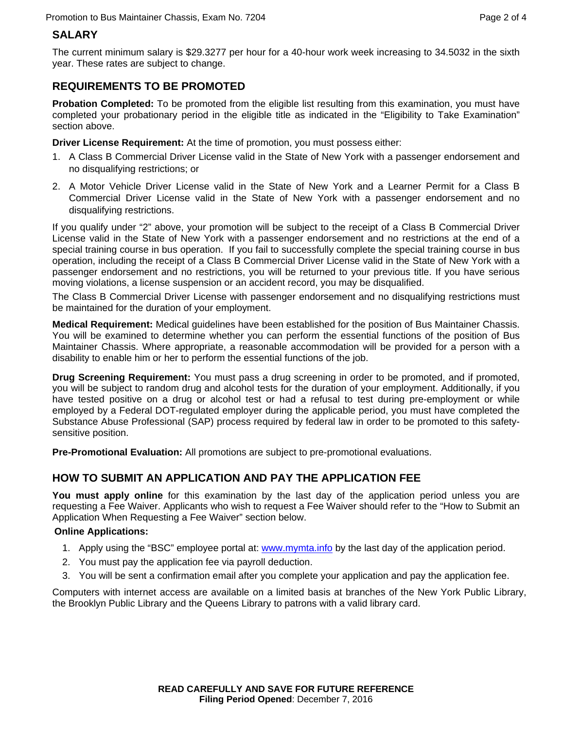## **SALARY**

The current minimum salary is \$29.3277 per hour for a 40-hour work week increasing to 34.5032 in the sixth year. These rates are subject to change.

## **REQUIREMENTS TO BE PROMOTED**

**Probation Completed:** To be promoted from the eligible list resulting from this examination, you must have completed your probationary period in the eligible title as indicated in the "Eligibility to Take Examination" section above.

**Driver License Requirement:** At the time of promotion, you must possess either:

- 1. A Class B Commercial Driver License valid in the State of New York with a passenger endorsement and no disqualifying restrictions; or
- 2. A Motor Vehicle Driver License valid in the State of New York and a Learner Permit for a Class B Commercial Driver License valid in the State of New York with a passenger endorsement and no disqualifying restrictions.

If you qualify under "2" above, your promotion will be subject to the receipt of a Class B Commercial Driver License valid in the State of New York with a passenger endorsement and no restrictions at the end of a special training course in bus operation. If you fail to successfully complete the special training course in bus operation, including the receipt of a Class B Commercial Driver License valid in the State of New York with a passenger endorsement and no restrictions, you will be returned to your previous title. If you have serious moving violations, a license suspension or an accident record, you may be disqualified.

The Class B Commercial Driver License with passenger endorsement and no disqualifying restrictions must be maintained for the duration of your employment.

**Medical Requirement:** Medical guidelines have been established for the position of Bus Maintainer Chassis. You will be examined to determine whether you can perform the essential functions of the position of Bus Maintainer Chassis. Where appropriate, a reasonable accommodation will be provided for a person with a disability to enable him or her to perform the essential functions of the job.

**Drug Screening Requirement:** You must pass a drug screening in order to be promoted, and if promoted, you will be subject to random drug and alcohol tests for the duration of your employment. Additionally, if you have tested positive on a drug or alcohol test or had a refusal to test during pre-employment or while employed by a Federal DOT-regulated employer during the applicable period, you must have completed the Substance Abuse Professional (SAP) process required by federal law in order to be promoted to this safetysensitive position.

**Pre-Promotional Evaluation:** All promotions are subject to pre-promotional evaluations.

## **HOW TO SUBMIT AN APPLICATION AND PAY THE APPLICATION FEE**

**You must apply online** for this examination by the last day of the application period unless you are requesting a Fee Waiver. Applicants who wish to request a Fee Waiver should refer to the "How to Submit an Application When Requesting a Fee Waiver" section below.

#### **Online Applications:**

- 1. Apply using the "BSC" employee portal at: www.mymta.info by the last day of the application period.
- 2. You must pay the application fee via payroll deduction.
- 3. You will be sent a confirmation email after you complete your application and pay the application fee.

Computers with internet access are available on a limited basis at branches of the New York Public Library, the Brooklyn Public Library and the Queens Library to patrons with a valid library card.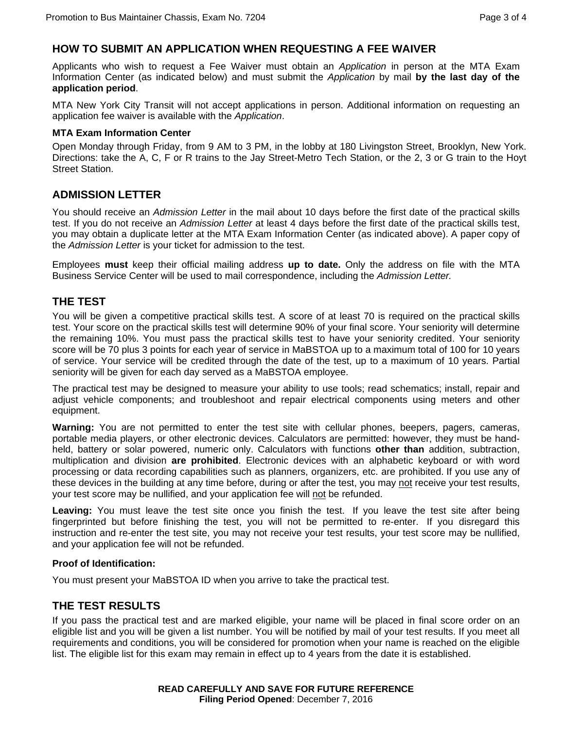#### **HOW TO SUBMIT AN APPLICATION WHEN REQUESTING A FEE WAIVER**

Applicants who wish to request a Fee Waiver must obtain an *Application* in person at the MTA Exam Information Center (as indicated below) and must submit the *Application* by mail **by the last day of the application period**.

MTA New York City Transit will not accept applications in person. Additional information on requesting an application fee waiver is available with the *Application*.

#### **MTA Exam Information Center**

Open Monday through Friday, from 9 AM to 3 PM, in the lobby at 180 Livingston Street, Brooklyn, New York. Directions: take the A, C, F or R trains to the Jay Street-Metro Tech Station, or the 2, 3 or G train to the Hoyt Street Station.

#### **ADMISSION LETTER**

You should receive an *Admission Letter* in the mail about 10 days before the first date of the practical skills test. If you do not receive an *Admission Letter* at least 4 days before the first date of the practical skills test, you may obtain a duplicate letter at the MTA Exam Information Center (as indicated above). A paper copy of the *Admission Letter* is your ticket for admission to the test.

Employees **must** keep their official mailing address **up to date.** Only the address on file with the MTA Business Service Center will be used to mail correspondence, including the *Admission Letter.*

#### **THE TEST**

You will be given a competitive practical skills test. A score of at least 70 is required on the practical skills test. Your score on the practical skills test will determine 90% of your final score. Your seniority will determine the remaining 10%. You must pass the practical skills test to have your seniority credited. Your seniority score will be 70 plus 3 points for each year of service in MaBSTOA up to a maximum total of 100 for 10 years of service. Your service will be credited through the date of the test, up to a maximum of 10 years. Partial seniority will be given for each day served as a MaBSTOA employee.

The practical test may be designed to measure your ability to use tools; read schematics; install, repair and adjust vehicle components; and troubleshoot and repair electrical components using meters and other equipment.

**Warning:** You are not permitted to enter the test site with cellular phones, beepers, pagers, cameras, portable media players, or other electronic devices. Calculators are permitted: however, they must be handheld, battery or solar powered, numeric only. Calculators with functions **other than** addition, subtraction, multiplication and division **are prohibited**. Electronic devices with an alphabetic keyboard or with word processing or data recording capabilities such as planners, organizers, etc. are prohibited. If you use any of these devices in the building at any time before, during or after the test, you may not receive your test results, your test score may be nullified, and your application fee will not be refunded.

**Leaving:** You must leave the test site once you finish the test. If you leave the test site after being fingerprinted but before finishing the test, you will not be permitted to re-enter. If you disregard this instruction and re-enter the test site, you may not receive your test results, your test score may be nullified, and your application fee will not be refunded.

#### **Proof of Identification:**

You must present your MaBSTOA ID when you arrive to take the practical test.

#### **THE TEST RESULTS**

If you pass the practical test and are marked eligible, your name will be placed in final score order on an eligible list and you will be given a list number. You will be notified by mail of your test results. If you meet all requirements and conditions, you will be considered for promotion when your name is reached on the eligible list. The eligible list for this exam may remain in effect up to 4 years from the date it is established.